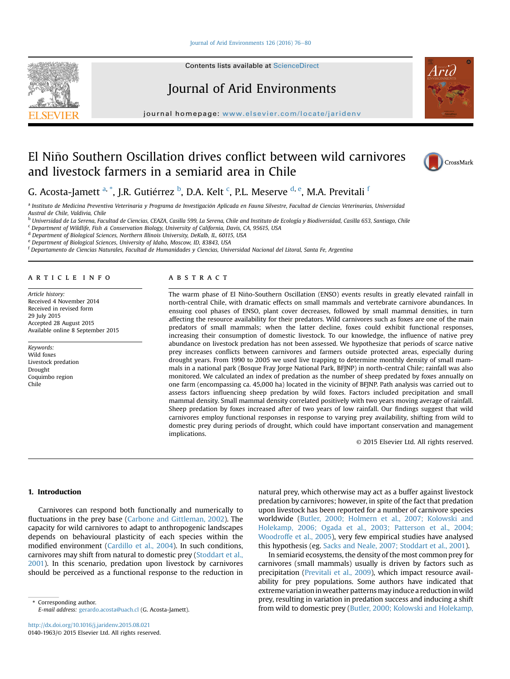## [Journal of Arid Environments 126 \(2016\) 76](http://dx.doi.org/10.1016/j.jaridenv.2015.08.021)-[80](http://dx.doi.org/10.1016/j.jaridenv.2015.08.021)

Contents lists available at [ScienceDirect](www.sciencedirect.com/science/journal/01401963)

# Journal of Arid Environments

journal homepage: [www.elsevier.com/locate/jaridenv](http://www.elsevier.com/locate/jaridenv)

# El Niño Southern Oscillation drives conflict between wild carnivores and livestock farmers in a semiarid area in Chile



G. Acosta-Jamett <sup>a, \*</sup>, J.R. Gutiérrez <sup>b</sup>, D.A. Kelt <sup>c</sup>, P.L. Meserve <sup>d, e</sup>, M.A. Previtali <sup>f</sup>

<sup>a</sup> Instituto de Medicina Preventiva Veterinaria y Programa de Investigación Aplicada en Fauna Silvestre, Facultad de Ciencias Veterinarias, Universidad Austral de Chile, Valdivia, Chile

<sup>b</sup> Universidad de La Serena, Facultad de Ciencias, CEAZA, Casilla 599, La Serena, Chile and Instituto de Ecología y Biodiversidad, Casilla 653, Santiago, Chile

<sup>c</sup> Department of Wildlife, Fish & Conservation Biology, University of California, Davis, CA, 95615, USA

<sup>d</sup> Department of Biological Sciences, Northern Illinois University, DeKalb, IL, 60115, USA

<sup>e</sup> Department of Biological Sciences, University of Idaho, Moscow, ID, 83843, USA

<sup>f</sup> Departamento de Ciencias Naturales, Facultad de Humanidades y Ciencias, Universidad Nacional del Litoral, Santa Fe, Argentina

#### article info

Article history: Received 4 November 2014 Received in revised form 29 July 2015 Accepted 28 August 2015 Available online 8 September 2015

Keywords: Wild foxes Livestock predation Drought Coquimbo region Chile

## ABSTRACT

The warm phase of El Nino-Southern Oscillation (ENSO) events results in greatly elevated rainfall in ~ north-central Chile, with dramatic effects on small mammals and vertebrate carnivore abundances. In ensuing cool phases of ENSO, plant cover decreases, followed by small mammal densities, in turn affecting the resource availability for their predators. Wild carnivores such as foxes are one of the main predators of small mammals; when the latter decline, foxes could exhibit functional responses, increasing their consumption of domestic livestock. To our knowledge, the influence of native prey abundance on livestock predation has not been assessed. We hypothesize that periods of scarce native prey increases conflicts between carnivores and farmers outside protected areas, especially during drought years. From 1990 to 2005 we used live trapping to determine monthly density of small mammals in a national park (Bosque Fray Jorge National Park, BFJNP) in north-central Chile; rainfall was also monitored. We calculated an index of predation as the number of sheep predated by foxes annually on one farm (encompassing ca. 45,000 ha) located in the vicinity of BFJNP. Path analysis was carried out to assess factors influencing sheep predation by wild foxes. Factors included precipitation and small mammal density. Small mammal density correlated positively with two years moving average of rainfall. Sheep predation by foxes increased after of two years of low rainfall. Our findings suggest that wild carnivores employ functional responses in response to varying prey availability, shifting from wild to domestic prey during periods of drought, which could have important conservation and management implications.

© 2015 Elsevier Ltd. All rights reserved.

# 1. Introduction

Carnivores can respond both functionally and numerically to fluctuations in the prey base ([Carbone and Gittleman, 2002](#page-3-0)). The capacity for wild carnivores to adapt to anthropogenic landscapes depends on behavioural plasticity of each species within the modified environment ([Cardillo et al., 2004](#page-4-0)). In such conditions, carnivores may shift from natural to domestic prey ([Stoddart et al.,](#page-4-0) [2001\)](#page-4-0). In this scenario, predation upon livestock by carnivores should be perceived as a functional response to the reduction in

E-mail address: [gerardo.acosta@uach.cl](mailto:gerardo.acosta@uach.cl) (G. Acosta-Jamett).

natural prey, which otherwise may act as a buffer against livestock predation by carnivores; however, in spite of the fact that predation upon livestock has been reported for a number of carnivore species worldwide ([Butler, 2000; Holmern et al., 2007; Kolowski and](#page-3-0) [Holekamp, 2006; Ogada et al., 2003; Patterson et al., 2004;](#page-3-0) [Woodroffe et al., 2005](#page-3-0)), very few empirical studies have analysed this hypothesis (eg. [Sacks and Neale, 2007; Stoddart et al., 2001\)](#page-4-0).

In semiarid ecosystems, the density of the most common prey for carnivores (small mammals) usually is driven by factors such as precipitation [\(Previtali et al., 2009](#page-4-0)), which impact resource availability for prey populations. Some authors have indicated that extreme variation in weather patterns may induce a reduction in wild prey, resulting in variation in predation success and inducing a shift from wild to domestic prey wild to domestic preview preview to the predation of predations success and inducing a<br>Final address: gerardo.acosta@uach.cl (G. Acosta-Jamett). https://wild to domestic prey (Butler, 2000; Kolow

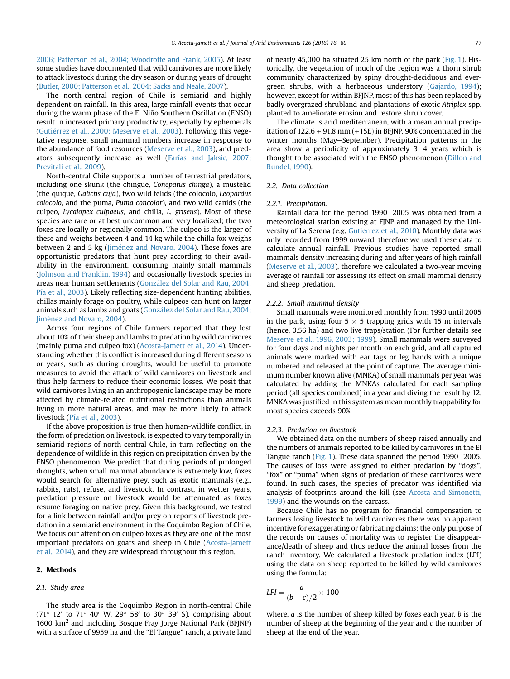[2006; Patterson et al., 2004; Woodroffe and Frank, 2005](#page-3-0)). At least some studies have documented that wild carnivores are more likely to attack livestock during the dry season or during years of drought ([Butler, 2000; Patterson et al., 2004; Sacks and Neale, 2007](#page-3-0)).

The north-central region of Chile is semiarid and highly dependent on rainfall. In this area, large rainfall events that occur during the warm phase of the El Niño Southern Oscillation (ENSO) result in increased primary productivity, especially by ephemerals (Gutiérrez et al., 2000; Meserve et al., 2003). Following this vegetative response, small mammal numbers increase in response to the abundance of food resources ([Meserve et al., 2003\)](#page-4-0), and predators subsequently increase as well [\(Farías and Jaksic, 2007;](#page-4-0) [Previtali et al., 2009](#page-4-0)).

North-central Chile supports a number of terrestrial predators, including one skunk (the chingue, Conepatus chinga), a mustelid (the quique, Galictis cuja), two wild felids (the colocolo, Leopardus colocolo, and the puma, Puma concolor), and two wild canids (the culpeo, Lycalopex culpaeus, and chilla, L. griseus). Most of these species are rare or at best uncommon and very localized; the two foxes are locally or regionally common. The culpeo is the larger of these and weighs between 4 and 14 kg while the chilla fox weighs between 2 and 5 kg (Jiménez and Novaro, 2004). These foxes are opportunistic predators that hunt prey according to their availability in the environment, consuming mainly small mammals ([Johnson and Franklin, 1994](#page-4-0)) and occasionally livestock species in areas near human settlements [\(Gonz](#page-4-0)ález del Solar and Rau, 2004; [Pía et al., 2003](#page-4-0)). Likely reflecting size-dependent hunting abilities, chillas mainly forage on poultry, while culpeos can hunt on larger animals such as lambs and goats [\(Gonz](#page-4-0)ález del Solar and Rau, 2004; Jiménez and Novaro, 2004).

Across four regions of Chile farmers reported that they lost about 10% of their sheep and lambs to predation by wild carnivores (mainly puma and culpeo fox) [\(Acosta-Jamett et al., 2014\)](#page-3-0). Understanding whether this conflict is increased during different seasons or years, such as during droughts, would be useful to promote measures to avoid the attack of wild carnivores on livestock and thus help farmers to reduce their economic losses. We posit that wild carnivores living in an anthropogenic landscape may be more affected by climate-related nutritional restrictions than animals living in more natural areas, and may be more likely to attack livestock [\(Pía et al., 2003\)](#page-4-0).

If the above proposition is true then human-wildlife conflict, in the form of predation on livestock, is expected to vary temporally in semiarid regions of north-central Chile, in turn reflecting on the dependence of wildlife in this region on precipitation driven by the ENSO phenomenon. We predict that during periods of prolonged droughts, when small mammal abundance is extremely low, foxes would search for alternative prey, such as exotic mammals (e.g., rabbits, rats), refuse, and livestock. In contrast, in wetter years, predation pressure on livestock would be attenuated as foxes resume foraging on native prey. Given this background, we tested for a link between rainfall and/or prey on reports of livestock predation in a semiarid environment in the Coquimbo Region of Chile. We focus our attention on culpeo foxes as they are one of the most important predators on goats and sheep in Chile ([Acosta-Jamett](#page-3-0) [et al., 2014](#page-3-0)), and they are widespread throughout this region.

#### 2. Methods

#### 2.1. Study area

The study area is the Coquimbo Region in north-central Chile (71 $\degree$  12' to 71 $\degree$  40' W, 29 $\degree$  58' to 30 $\degree$  39' S), comprising about 1600 km2 and including Bosque Fray Jorge National Park (BFJNP) with a surface of 9959 ha and the "El Tangue" ranch, a private land of nearly 45,000 ha situated 25 km north of the park ([Fig. 1](#page-2-0)). Historically, the vegetation of much of the region was a thorn shrub community characterized by spiny drought-deciduous and evergreen shrubs, with a herbaceous understory [\(Gajardo, 1994\)](#page-4-0); however, except for within BFJNP, most of this has been replaced by badly overgrazed shrubland and plantations of exotic Atriplex spp. planted to ameliorate erosion and restore shrub cover.

The climate is arid mediterranean, with a mean annual precipitation of  $122.6 \pm 91.8$  mm ( $\pm 1SE$ ) in BFJNP, 90% concentrated in the winter months (May–September). Precipitation patterns in the area show a periodicity of approximately  $3-4$  years which is thought to be associated with the ENSO phenomenon ([Dillon and](#page-4-0) [Rundel, 1990](#page-4-0)).

#### 2.2. Data collection

#### 2.2.1. Precipitation.

Rainfall data for the period 1990-2005 was obtained from a meteorological station existing at FJNP and managed by the University of La Serena (e.g. [Gutierrez et al., 2010](#page-4-0)). Monthly data was only recorded from 1999 onward, therefore we used these data to calculate annual rainfall. Previous studies have reported small mammals density increasing during and after years of high rainfall ([Meserve et al., 2003](#page-4-0)), therefore we calculated a two-year moving average of rainfall for assessing its effect on small mammal density and sheep predation.

## 2.2.2. Small mammal density

Small mammals were monitored monthly from 1990 until 2005 in the park, using four  $5 \times 5$  trapping grids with 15 m intervals (hence, 0.56 ha) and two live traps/station (For further details see [Meserve et al., 1996, 2003; 1999](#page-4-0)). Small mammals were surveyed for four days and nights per month on each grid, and all captured animals were marked with ear tags or leg bands with a unique numbered and released at the point of capture. The average minimum number known alive (MNKA) of small mammals per year was calculated by adding the MNKAs calculated for each sampling period (all species combined) in a year and diving the result by 12. MNKA was justified in this system as mean monthly trappability for most species exceeds 90%.

## 2.2.3. Predation on livestock

We obtained data on the numbers of sheep raised annually and the numbers of animals reported to be killed by carnivores in the El Tangue ranch ([Fig. 1](#page-2-0)). These data spanned the period  $1990-2005$ . The causes of loss were assigned to either predation by "dogs", "fox" or "puma" when signs of predation of these carnivores were found. In such cases, the species of predator was identified via analysis of footprints around the kill (see [Acosta and Simonetti,](#page-3-0) [1999\)](#page-3-0) and the wounds on the carcass.

Because Chile has no program for financial compensation to farmers losing livestock to wild carnivores there was no apparent incentive for exaggerating or fabricating claims; the only purpose of the records on causes of mortality was to register the disappearance/death of sheep and thus reduce the animal losses from the ranch inventory. We calculated a livestock predation index (LPI) using the data on sheep reported to be killed by wild carnivores using the formula:

$$
LPI = \frac{a}{(b+c)/2} \times 100
$$

where,  $a$  is the number of sheep killed by foxes each year,  $b$  is the number of sheep at the beginning of the year and c the number of sheep at the end of the year.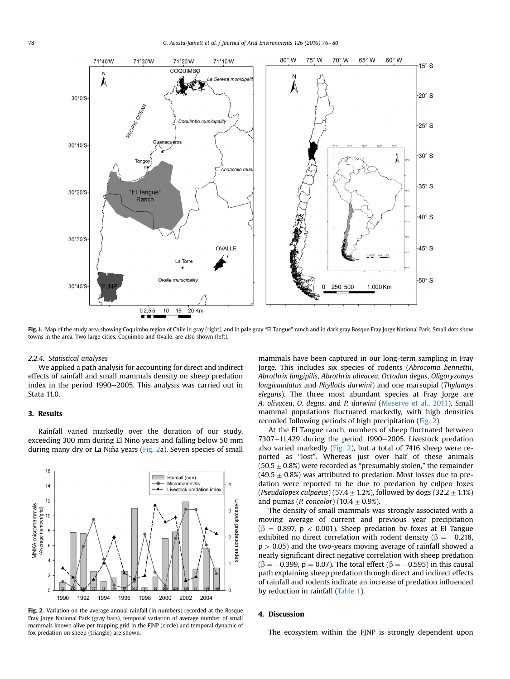<span id="page-2-0"></span>

Fig. 1. Map of the study area showing Coquimbo region of Chile in gray (right), and in pale gray "El Tangue" ranch and in dark gray Bosque Fray Jorge National Park. Small dots show towns in the area. Two large cities, Coquimbo and Ovalle, are also shown (left).

#### 2.2.4. Statistical analyses

We applied a path analysis for accounting for direct and indirect effects of rainfall and small mammals density on sheep predation index in the period 1990-2005. This analysis was carried out in Stata 11.0.

# 3. Results

Rainfall varied markedly over the duration of our study, exceeding 300 mm during El Nino years and falling below 50 mm ~ during many dry or La Niña years (Fig. 2a). Seven species of small



Fig. 2. Variation on the average annual rainfall (in numbers) recorded at the Bosque Fray Jorge National Park (gray bars), temporal variation of average number of small mammals known alive per trapping grid in the FJNP (circle) and temporal dynamic of fox predation on sheep (triangle) are shown.

mammals have been captured in our long-term sampling in Fray Jorge. This includes six species of rodents (Abrocoma bennettii, Abrothrix longipilis, Abrothrix olivacea, Octodon degus, Oligoryzomys longicaudatus and Phyllotis darwini) and one marsupial (Thylamys elegans). The three most abundant species at Fray Jorge are A. olivacea, O. degus, and P. darwini ([Meserve et al., 2011\)](#page-4-0). Small mammal populations fluctuated markedly, with high densities recorded following periods of high precipitation (Fig. 2).

At the El Tangue ranch, numbers of sheep fluctuated between  $7307-11,429$  during the period  $1990-2005$ . Livestock predation also varied markedly (Fig. 2), but a total of 7416 sheep were reported as "lost". Whereas just over half of these animals  $(50.5 \pm 0.8%)$  were recorded as "presumably stolen," the remainder  $(49.5 \pm 0.8\%)$  was attributed to predation. Most losses due to predation were reported to be due to predation by culpeo foxes (Pseudalopex culpaeus) (57.4  $\pm$  1.2%), followed by dogs (32.2  $\pm$  1.1%) and pumas (*P. concolor*) (10.4  $\pm$  0.9%).

The density of small mammals was strongly associated with a moving average of current and previous year precipitation ( $\beta$  = 0.897, p < 0.001). Sheep predation by foxes at El Tangue exhibited no direct correlation with rodent density ( $\beta = -0.218$ ,  $p > 0.05$ ) and the two-years moving average of rainfall showed a nearly significant direct negative correlation with sheep predation  $(\beta = -0.399, p = 0.07)$ . The total effect ( $\beta = -0.595$ ) in this causal path explaining sheep predation through direct and indirect effects of rainfall and rodents indicate an increase of predation influenced by reduction in rainfall [\(Table 1](#page-3-0)).

#### 4. Discussion

The ecosystem within the FJNP is strongly dependent upon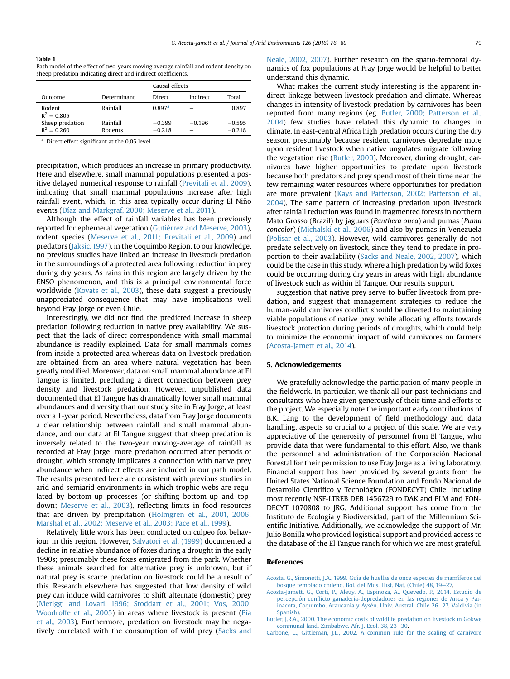#### <span id="page-3-0"></span>Table 1

Path model of the effect of two-years moving average rainfall and rodent density on sheep predation indicating direct and indirect coefficients.

|                                  |                     | Causal effects       |                                      |                      |
|----------------------------------|---------------------|----------------------|--------------------------------------|----------------------|
| Outcome                          | Determinant         | Direct               | Indirect                             | Total                |
| Rodent<br>$R^2 = 0.805$          | Rainfall            | $0.897$ <sup>a</sup> | $\overline{\phantom{a}}$             | 0.897                |
| Sheep predation<br>$R^2 = 0.260$ | Rainfall<br>Rodents | $-0.399$<br>$-0.218$ | $-0.196$<br>$\overline{\phantom{a}}$ | $-0.595$<br>$-0.218$ |

Direct effect significant at the 0.05 level.

precipitation, which produces an increase in primary productivity. Here and elsewhere, small mammal populations presented a positive delayed numerical response to rainfall ([Previtali et al., 2009\)](#page-4-0), indicating that small mammal populations increase after high rainfall event, which, in this area typically occur during El Nino~ events ([Díaz and Markgraf, 2000; Meserve et al., 2011](#page-4-0)).

Although the effect of rainfall variables has been previously reported for ephemeral vegetation (Gutiérrez and Meserve, 2003), rodent species ([Meserve et al., 2011; Previtali et al., 2009](#page-4-0)) and predators ([Jaksic, 1997](#page-4-0)), in the Coquimbo Region, to our knowledge, no previous studies have linked an increase in livestock predation in the surroundings of a protected area following reduction in prey during dry years. As rains in this region are largely driven by the ENSO phenomenon, and this is a principal environmental force worldwide ([Kovats et al., 2003](#page-4-0)), these data suggest a previously unappreciated consequence that may have implications well beyond Fray Jorge or even Chile.

Interestingly, we did not find the predicted increase in sheep predation following reduction in native prey availability. We suspect that the lack of direct correspondence with small mammal abundance is readily explained. Data for small mammals comes from inside a protected area whereas data on livestock predation are obtained from an area where natural vegetation has been greatly modified. Moreover, data on small mammal abundance at El Tangue is limited, precluding a direct connection between prey density and livestock predation. However, unpublished data documented that El Tangue has dramatically lower small mammal abundances and diversity than our study site in Fray Jorge, at least over a 1-year period. Nevertheless, data from Fray Jorge documents a clear relationship between rainfall and small mammal abundance, and our data at El Tangue suggest that sheep predation is inversely related to the two-year moving-average of rainfall as recorded at Fray Jorge; more predation occurred after periods of drought, which strongly implicates a connection with native prey abundance when indirect effects are included in our path model. The results presented here are consistent with previous studies in arid and semiarid environments in which trophic webs are regulated by bottom-up processes (or shifting bottom-up and topdown; [Meserve et al., 2003\)](#page-4-0), reflecting limits in food resources that are driven by precipitation [\(Holmgren et al., 2001, 2006;](#page-4-0) [Marshal et al., 2002; Meserve et al., 2003; Pace et al., 1999\)](#page-4-0).

Relatively little work has been conducted on culpeo fox behaviour in this region. However, [Salvatori et al. \(1999\)](#page-4-0) documented a decline in relative abundance of foxes during a drought in the early 1990s; presumably these foxes emigrated from the park. Whether these animals searched for alternative prey is unknown, but if natural prey is scarce predation on livestock could be a result of this. Research elsewhere has suggested that low density of wild prey can induce wild carnivores to shift alternate (domestic) prey ([Meriggi and Lovari, 1996; Stoddart et al., 2001; Vos, 2000;](#page-4-0) [Woodroffe et al., 2005](#page-4-0)) in areas where livestock is present [\(Pía](#page-4-0) [et al., 2003\)](#page-4-0). Furthermore, predation on livestock may be negatively correlated with the consumption of wild prey [\(Sacks and](#page-4-0)

[Neale, 2002, 2007\)](#page-4-0). Further research on the spatio-temporal dynamics of fox populations at Fray Jorge would be helpful to better understand this dynamic.

What makes the current study interesting is the apparent indirect linkage between livestock predation and climate. Whereas changes in intensity of livestock predation by carnivores has been reported from many regions (eg. Butler, 2000; Patterson et al., 2004) few studies have related this dynamic to changes in climate. In east-central Africa high predation occurs during the dry season, presumably because resident carnivores depredate more upon resident livestock when native ungulates migrate following the vegetation rise (Butler, 2000). Moreover, during drought, carnivores have higher opportunities to predate upon livestock because both predators and prey spend most of their time near the few remaining water resources where opportunities for predation are more prevalent ([Kays and Patterson, 2002; Patterson et al.,](#page-4-0) [2004\)](#page-4-0). The same pattern of increasing predation upon livestock after rainfall reduction was found in fragmented forests in northern Mato Grosso (Brazil) by jaguars (Panthera onca) and pumas (Puma concolor) [\(Michalski et al., 2006\)](#page-4-0) and also by pumas in Venezuela ([Polisar et al., 2003\)](#page-4-0). However, wild carnivores generally do not predate selectively on livestock, since they tend to predate in proportion to their availability [\(Sacks and Neale, 2002, 2007](#page-4-0)), which could be the case in this study, where a high predation by wild foxes could be occurring during dry years in areas with high abundance of livestock such as within El Tangue. Our results support.

suggestion that native prey serve to buffer livestock from predation, and suggest that management strategies to reduce the human-wild carnivores conflict should be directed to maintaining viable populations of native prey, while allocating efforts towards livestock protection during periods of droughts, which could help to minimize the economic impact of wild carnivores on farmers (Acosta-Jamett et al., 2014).

## 5. Acknowledgements

We gratefully acknowledge the participation of many people in the fieldwork. In particular, we thank all our past technicians and consultants who have given generously of their time and efforts to the project. We especially note the important early contributions of B.K. Lang to the development of field methodology and data handling, aspects so crucial to a project of this scale. We are very appreciative of the generosity of personnel from El Tangue, who provide data that were fundamental to this effort. Also, we thank the personnel and administration of the Corporación Nacional Forestal for their permission to use Fray Jorge as a living laboratory. Financial support has been provided by several grants from the United States National Science Foundation and Fondo Nacional de Desarrollo Científico y Tecnológico (FONDECYT) Chile, including most recently NSF-LTREB DEB 1456729 to DAK and PLM and FON-DECYT 1070808 to JRG. Additional support has come from the Instituto de Ecología y Biodiversidad, part of the Millennium Scientific Initiative. Additionally, we acknowledge the support of Mr. Julio Bonilla who provided logistical support and provided access to the database of the El Tangue ranch for which we are most grateful.

#### References

- [Acosta, G., Simonetti, J.A., 1999. Guía de huellas de once especies de mamíferos del](http://refhub.elsevier.com/S0140-1963(15)30045-8/sref1) [bosque templado chileno. Bol. del Mus. Hist. Nat. \(Chile\) 48, 19](http://refhub.elsevier.com/S0140-1963(15)30045-8/sref1)-[27.](http://refhub.elsevier.com/S0140-1963(15)30045-8/sref1)
- [Acosta-Jamett, G., Corti, P., Aleuy, A., Espinoza, A., Quevedo, P., 2014. Estudio de](http://refhub.elsevier.com/S0140-1963(15)30045-8/sref2) [percepci](http://refhub.elsevier.com/S0140-1963(15)30045-8/sref2)ón confl[icto ganadería-depredadores en las regiones de Arica y Par-](http://refhub.elsevier.com/S0140-1963(15)30045-8/sref2)inacota, Coquimbo, Araucanía y Aysén. Univ. Austral. Chile 26–[27. Valdivia \(in](http://refhub.elsevier.com/S0140-1963(15)30045-8/sref2) [Spanish\).](http://refhub.elsevier.com/S0140-1963(15)30045-8/sref2)
- [Butler, J.R.A., 2000. The economic costs of wildlife predation on livestock in Gokwe](http://refhub.elsevier.com/S0140-1963(15)30045-8/sref3) [communal land, Zimbabwe. Afr. J. Ecol. 38, 23](http://refhub.elsevier.com/S0140-1963(15)30045-8/sref3)-[30](http://refhub.elsevier.com/S0140-1963(15)30045-8/sref3).
- [Carbone, C., Gittleman, J.L., 2002. A common rule for the scaling of carnivore](http://refhub.elsevier.com/S0140-1963(15)30045-8/sref4)